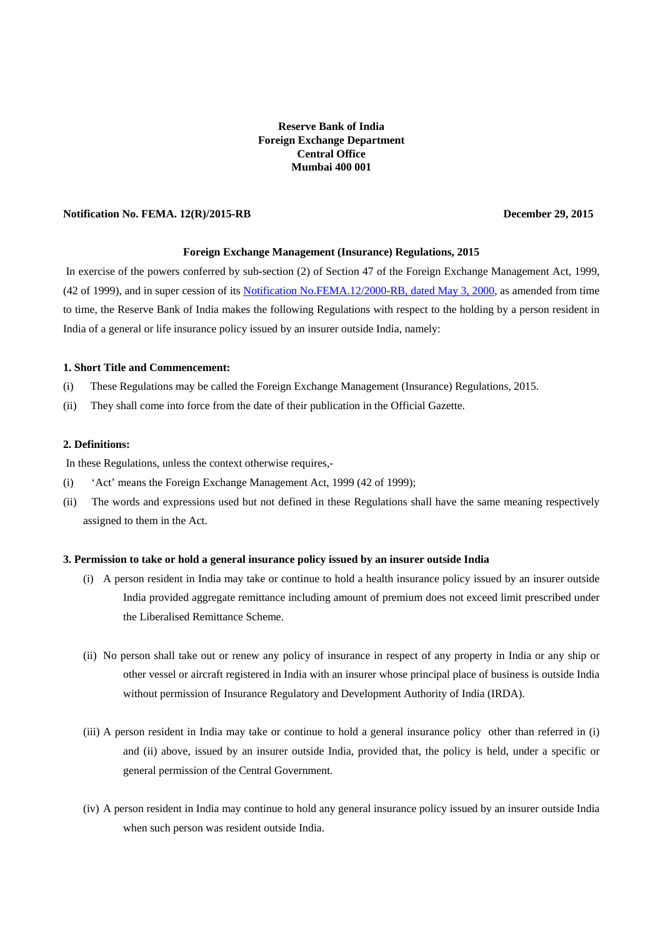# **Reserve Bank of India Foreign Exchange Department Central Office Mumbai 400 001**

# **Notification No. FEMA. 12(R)/2015-RB** December 29, 2015

### **Foreign Exchange Management (Insurance) Regulations, 2015**

In exercise of the powers conferred by sub-section (2) of Section 47 of the Foreign Exchange Management Act, 1999, (42 of 1999), and in super cession of it[s Notification No.FEMA.12/2000-RB, dated May 3, 2000,](https://www.rbi.org.in/Scripts/BS_FemaNotifications.aspx?Id=166) as amended from time to time, the Reserve Bank of India makes the following Regulations with respect to the holding by a person resident in India of a general or life insurance policy issued by an insurer outside India, namely:

#### **1. Short Title and Commencement:**

- (i) These Regulations may be called the Foreign Exchange Management (Insurance) Regulations, 2015.
- (ii) They shall come into force from the date of their publication in the Official Gazette.

### **2. Definitions:**

In these Regulations, unless the context otherwise requires,-

- (i) 'Act' means the Foreign Exchange Management Act, 1999 (42 of 1999);
- (ii) The words and expressions used but not defined in these Regulations shall have the same meaning respectively assigned to them in the Act.

### **3. Permission to take or hold a general insurance policy issued by an insurer outside India**

- (i) A person resident in India may take or continue to hold a health insurance policy issued by an insurer outside India provided aggregate remittance including amount of premium does not exceed limit prescribed under the Liberalised Remittance Scheme.
- (ii) No person shall take out or renew any policy of insurance in respect of any property in India or any ship or other vessel or aircraft registered in India with an insurer whose principal place of business is outside India without permission of Insurance Regulatory and Development Authority of India (IRDA).
- (iii) A person resident in India may take or continue to hold a general insurance policy other than referred in (i) and (ii) above, issued by an insurer outside India, provided that, the policy is held, under a specific or general permission of the Central Government.
- (iv) A person resident in India may continue to hold any general insurance policy issued by an insurer outside India when such person was resident outside India.